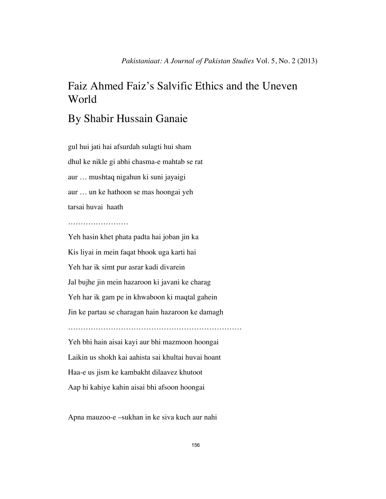# Faiz Ahmed Faiz's Salvific Ethics and the Uneven World

## By Shabir Hussain Ganaie

gul hui jati hai afsurdah sulagti hui sham dhul ke nikle gi abhi chasma-e mahtab se rat aur … mushtaq nigahun ki suni jayaigi aur … un ke hathoon se mas hoongai yeh tarsai huvai haath

#### …………………………

Yeh hasin khet phata padta hai joban jin ka Kis liyai in mein faqat bhook uga karti hai Yeh har ik simt pur asrar kadi divarein Jal bujhe jin mein hazaroon ki javani ke charag Yeh har ik gam pe in khwaboon ki maqtal gahein Jin ke partau se charagan hain hazaroon ke damagh …………………………………………………………… Yeh bhi hain aisai kayi aur bhi mazmoon hoongai Laikin us shokh kai aahista sai khultai huvai hoant Haa-e us jism ke kambakht dilaavez khutoot Aap hi kahiye kahin aisai bhi afsoon hoongai

Apna mauzoo-e –sukhan in ke siva kuch aur nahi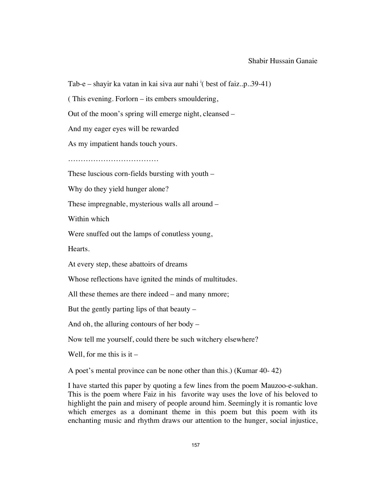#### Shabir Hussain Ganaie

Tab-e – shayir ka vatan in kai siva aur nahi  $(i$  best of faiz..p..39-41)

( This evening. Forlorn – its embers smouldering,

Out of the moon's spring will emerge night, cleansed –

And my eager eyes will be rewarded

As my impatient hands touch yours.

………………………………

These luscious corn-fields bursting with youth –

Why do they yield hunger alone?

These impregnable, mysterious walls all around –

Within which

Were snuffed out the lamps of conutless young,

Hearts.

At every step, these abattoirs of dreams

Whose reflections have ignited the minds of multitudes.

All these themes are there indeed – and many nmore;

But the gently parting lips of that beauty –

And oh, the alluring contours of her body –

Now tell me yourself, could there be such witchery elsewhere?

Well, for me this is it  $-$ 

A poet's mental province can be none other than this.) (Kumar 40- 42)

I have started this paper by quoting a few lines from the poem Mauzoo-e-sukhan. This is the poem where Faiz in his favorite way uses the love of his beloved to highlight the pain and misery of people around him. Seemingly it is romantic love which emerges as a dominant theme in this poem but this poem with its enchanting music and rhythm draws our attention to the hunger, social injustice,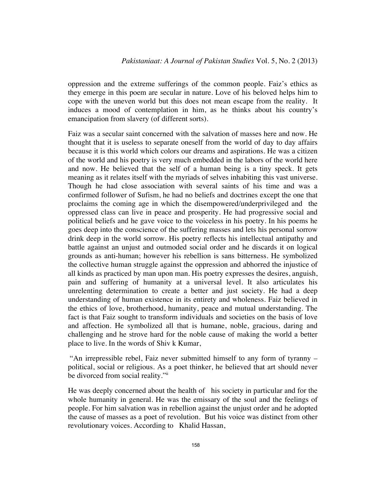oppression and the extreme sufferings of the common people. Faiz's ethics as they emerge in this poem are secular in nature. Love of his beloved helps him to cope with the uneven world but this does not mean escape from the reality. It induces a mood of contemplation in him, as he thinks about his country's emancipation from slavery (of different sorts).

Faiz was a secular saint concerned with the salvation of masses here and now. He thought that it is useless to separate oneself from the world of day to day affairs because it is this world which colors our dreams and aspirations. He was a citizen of the world and his poetry is very much embedded in the labors of the world here and now. He believed that the self of a human being is a tiny speck. It gets meaning as it relates itself with the myriads of selves inhabiting this vast universe. Though he had close association with several saints of his time and was a confirmed follower of Sufism, he had no beliefs and doctrines except the one that proclaims the coming age in which the disempowered/underprivileged and the oppressed class can live in peace and prosperity. He had progressive social and political beliefs and he gave voice to the voiceless in his poetry. In his poems he goes deep into the conscience of the suffering masses and lets his personal sorrow drink deep in the world sorrow. His poetry reflects his intellectual antipathy and battle against an unjust and outmoded social order and he discards it on logical grounds as anti-human; however his rebellion is sans bitterness. He symbolized the collective human struggle against the oppression and abhorred the injustice of all kinds as practiced by man upon man. His poetry expresses the desires, anguish, pain and suffering of humanity at a universal level. It also articulates his unrelenting determination to create a better and just society. He had a deep understanding of human existence in its entirety and wholeness. Faiz believed in the ethics of love, brotherhood, humanity, peace and mutual understanding. The fact is that Faiz sought to transform individuals and societies on the basis of love and affection. He symbolized all that is humane, noble, gracious, daring and challenging and he strove hard for the noble cause of making the world a better place to live. In the words of Shiv k Kumar,

"An irrepressible rebel, Faiz never submitted himself to any form of tyranny – political, social or religious. As a poet thinker, he believed that art should never be divorced from social reality."

He was deeply concerned about the health of his society in particular and for the whole humanity in general. He was the emissary of the soul and the feelings of people. For him salvation was in rebellion against the unjust order and he adopted the cause of masses as a poet of revolution. But his voice was distinct from other revolutionary voices. According to Khalid Hassan,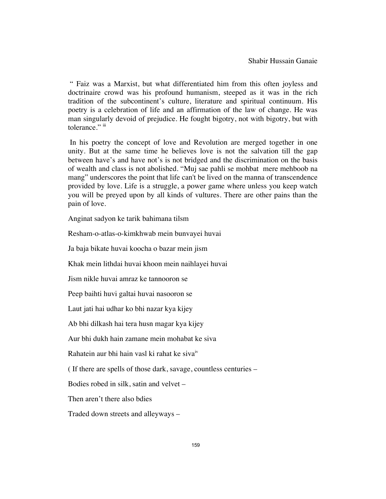" Faiz was a Marxist, but what differentiated him from this often joyless and doctrinaire crowd was his profound humanism, steeped as it was in the rich tradition of the subcontinent's culture, literature and spiritual continuum. His poetry is a celebration of life and an affirmation of the law of change. He was man singularly devoid of prejudice. He fought bigotry, not with bigotry, but with tolerance." iii

 In his poetry the concept of love and Revolution are merged together in one unity. But at the same time he believes love is not the salvation till the gap between have's and have not's is not bridged and the discrimination on the basis of wealth and class is not abolished. "Muj sae pahli se mohbat mere mehboob na mang" underscores the point that life can't be lived on the manna of transcendence provided by love. Life is a struggle, a power game where unless you keep watch you will be preyed upon by all kinds of vultures. There are other pains than the pain of love.

Anginat sadyon ke tarik bahimana tilsm

Resham-o-atlas-o-kimkhwab mein bunvayei huvai

Ja baja bikate huvai koocha o bazar mein jism

Khak mein lithdai huvai khoon mein naihlayei huvai

Jism nikle huvai amraz ke tannooron se

Peep baihti huvi galtai huvai nasooron se

Laut jati hai udhar ko bhi nazar kya kijey

Ab bhi dilkash hai tera husn magar kya kijey

Aur bhi dukh hain zamane mein mohabat ke siva

Rahatein aur bhi hain vasl ki rahat ke siva $\mu$ 

( If there are spells of those dark, savage, countless centuries –

Bodies robed in silk, satin and velvet –

Then aren't there also bdies

Traded down streets and alleyways –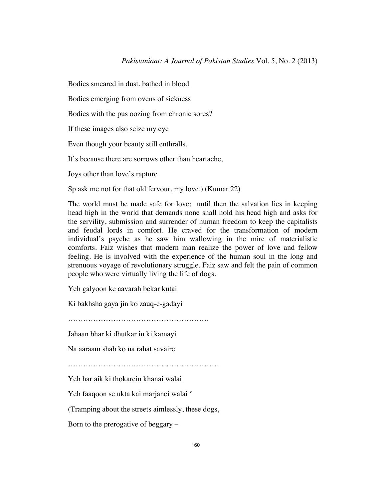Bodies smeared in dust, bathed in blood

Bodies emerging from ovens of sickness

Bodies with the pus oozing from chronic sores?

If these images also seize my eye

Even though your beauty still enthralls.

It's because there are sorrows other than heartache,

Joys other than love's rapture

Sp ask me not for that old fervour, my love.) (Kumar 22)

The world must be made safe for love; until then the salvation lies in keeping head high in the world that demands none shall hold his head high and asks for the servility, submission and surrender of human freedom to keep the capitalists and feudal lords in comfort. He craved for the transformation of modern individual's psyche as he saw him wallowing in the mire of materialistic comforts. Faiz wishes that modern man realize the power of love and fellow feeling. He is involved with the experience of the human soul in the long and strenuous voyage of revolutionary struggle. Faiz saw and felt the pain of common people who were virtually living the life of dogs.

Yeh galyoon ke aavarah bekar kutai

Ki bakhsha gaya jin ko zauq-e-gadayi

………………………………………………………………………………

Jahaan bhar ki dhutkar in ki kamayi

Na aaraam shab ko na rahat savaire

……………………………………………………

Yeh har aik ki thokarein khanai walai

Yeh faaqoon se ukta kai marjanei walai v

(Tramping about the streets aimlessly, these dogs,

Born to the prerogative of beggary –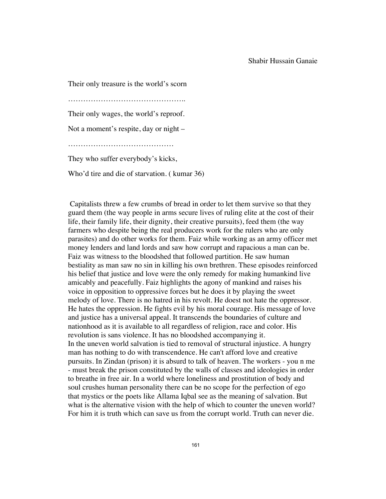Their only treasure is the world's scorn ……………………………………….. Their only wages, the world's reproof. Not a moment's respite, day or night – …………………………………… They who suffer everybody's kicks,

Who'd tire and die of starvation. ( kumar 36)

 Capitalists threw a few crumbs of bread in order to let them survive so that they guard them (the way people in arms secure lives of ruling elite at the cost of their life, their family life, their dignity, their creative pursuits), feed them (the way farmers who despite being the real producers work for the rulers who are only parasites) and do other works for them. Faiz while working as an army officer met money lenders and land lords and saw how corrupt and rapacious a man can be. Faiz was witness to the bloodshed that followed partition. He saw human bestiality as man saw no sin in killing his own brethren. These episodes reinforced his belief that justice and love were the only remedy for making humankind live amicably and peacefully. Faiz highlights the agony of mankind and raises his voice in opposition to oppressive forces but he does it by playing the sweet melody of love. There is no hatred in his revolt. He doest not hate the oppressor. He hates the oppression. He fights evil by his moral courage. His message of love and justice has a universal appeal. It transcends the boundaries of culture and nationhood as it is available to all regardless of religion, race and color. His revolution is sans violence. It has no bloodshed accompanying it. In the uneven world salvation is tied to removal of structural injustice. A hungry man has nothing to do with transcendence. He can't afford love and creative pursuits. In Zindan (prison) it is absurd to talk of heaven. The workers - you n me - must break the prison constituted by the walls of classes and ideologies in order to breathe in free air. In a world where loneliness and prostitution of body and soul crushes human personality there can be no scope for the perfection of ego that mystics or the poets like Allama Iqbal see as the meaning of salvation. But what is the alternative vision with the help of which to counter the uneven world? For him it is truth which can save us from the corrupt world. Truth can never die.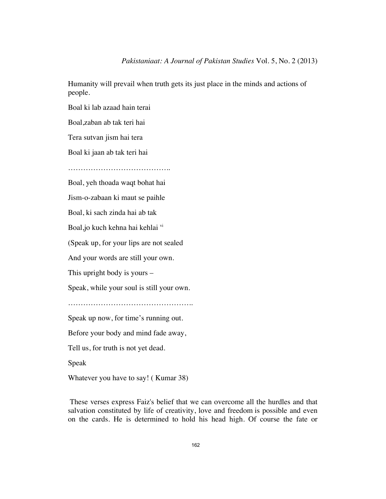Humanity will prevail when truth gets its just place in the minds and actions of people.

Boal ki lab azaad hain terai

Boal,zaban ab tak teri hai

Tera sutvan jism hai tera

Boal ki jaan ab tak teri hai

…………………………………..

Boal, yeh thoada waqt bohat hai

Jism-o-zabaan ki maut se paihle

Boal, ki sach zinda hai ab tak

Boal, jo kuch kehna hai kehlai vi

(Speak up, for your lips are not sealed

And your words are still your own.

This upright body is yours –

Speak, while your soul is still your own.

…………………………………………..

Speak up now, for time's running out.

Before your body and mind fade away,

Tell us, for truth is not yet dead.

Speak

Whatever you have to say! ( Kumar 38)

 These verses express Faiz's belief that we can overcome all the hurdles and that salvation constituted by life of creativity, love and freedom is possible and even on the cards. He is determined to hold his head high. Of course the fate or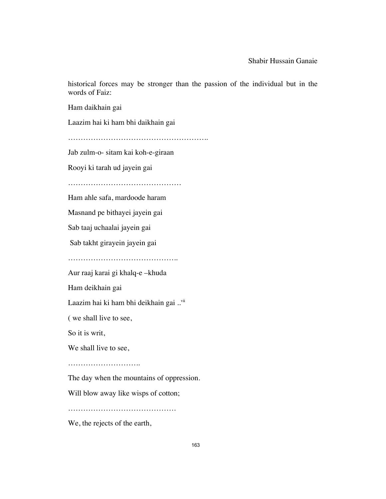historical forces may be stronger than the passion of the individual but in the words of Faiz:

Ham daikhain gai

Laazim hai ki ham bhi daikhain gai

………………………………………………..

Jab zulm-o- sitam kai koh-e-giraan

Rooyi ki tarah ud jayein gai

………………………………………

Ham ahle safa, mardoode haram

Masnand pe bithayei jayein gai

Sab taaj uchaalai jayein gai

Sab takht girayein jayein gai

…………………………………………………

Aur raaj karai gi khalq-e –khuda

Ham deikhain gai

Laazim hai ki ham bhi deikhain gai ..vii

( we shall live to see,

So it is writ,

We shall live to see,

………………………………

The day when the mountains of oppression.

Will blow away like wisps of cotton;

……………………………………………

We, the rejects of the earth,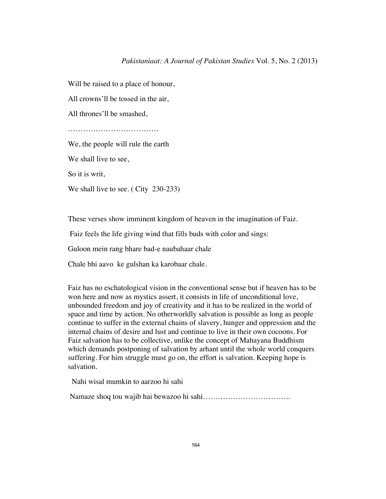### *Pakistaniaat: A Journal of Pakistan Studies* Vol. 5, No. 2 (2013)

Will be raised to a place of honour,

All crowns'll be tossed in the air,

All thrones'll be smashed,

……………………………………………

We, the people will rule the earth

We shall live to see,

So it is writ,

We shall live to see. (City 230-233)

These verses show imminent kingdom of heaven in the imagination of Faiz.

Faiz feels the life giving wind that fills buds with color and sings:

Guloon mein rang bhare bad-e naubahaar chale

Chale bhi aavo ke gulshan ka karobaar chale.

Faiz has no eschatological vision in the conventional sense but if heaven has to be won here and now as mystics assert, it consists in life of unconditional love, unbounded freedom and joy of creativity and it has to be realized in the world of space and time by action. No otherworldly salvation is possible as long as people continue to suffer in the external chains of slavery, hunger and oppression and the internal chains of desire and lust and continue to live in their own cocoons. For Faiz salvation has to be collective, unlike the concept of Mahayana Buddhism which demands postponing of salvation by arhant until the whole world conquers suffering. For him struggle must go on, the effort is salvation. Keeping hope is salvation.

Nahi wisal mumkin to aarzoo hi sahi

Namaze shoq tou wajib hai bewazoo hi sahi……………………………..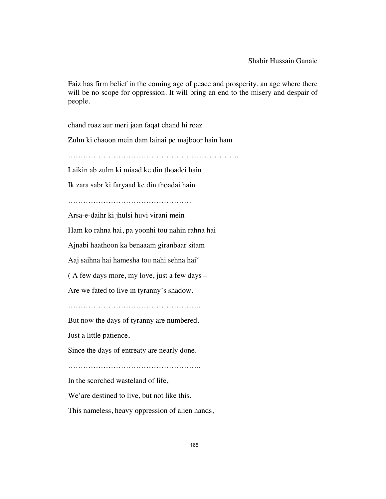Faiz has firm belief in the coming age of peace and prosperity, an age where there will be no scope for oppression. It will bring an end to the misery and despair of people.

chand roaz aur meri jaan faqat chand hi roaz

Zulm ki chaoon mein dam lainai pe majboor hain ham

…………………………………………………………..

Laikin ab zulm ki miaad ke din thoadei hain

Ik zara sabr ki faryaad ke din thoadai hain

………………………………………….

Arsa-e-daihr ki jhulsi huvi virani mein

Ham ko rahna hai, pa yoonhi tou nahin rahna hai

Ajnabi haathoon ka benaaam giranbaar sitam

Aaj saihna hai hamesha tou nahi sehna hai<sup>viii</sup>

( A few days more, my love, just a few days –

Are we fated to live in tyranny's shadow.

……………………………………………..

But now the days of tyranny are numbered.

Just a little patience,

Since the days of entreaty are nearly done.

In the scorched wasteland of life,

We'are destined to live, but not like this.

This nameless, heavy oppression of alien hands,